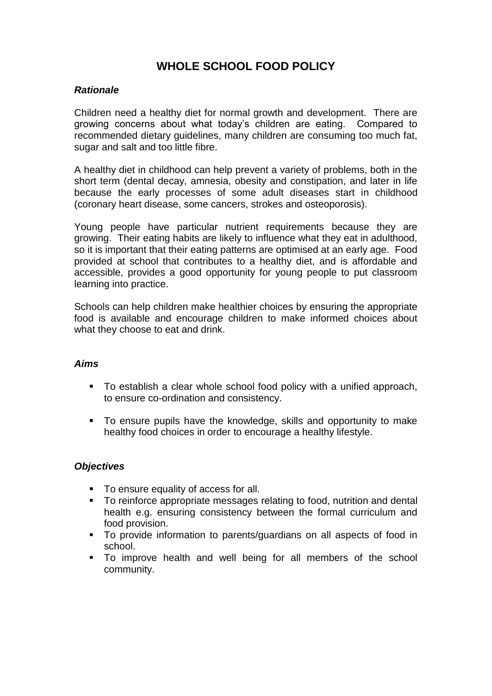# **WHOLE SCHOOL FOOD POLICY**

### *Rationale*

Children need a healthy diet for normal growth and development. There are growing concerns about what today's children are eating. Compared to recommended dietary guidelines, many children are consuming too much fat, sugar and salt and too little fibre.

A healthy diet in childhood can help prevent a variety of problems, both in the short term (dental decay, amnesia, obesity and constipation, and later in life because the early processes of some adult diseases start in childhood (coronary heart disease, some cancers, strokes and osteoporosis).

Young people have particular nutrient requirements because they are growing. Their eating habits are likely to influence what they eat in adulthood, so it is important that their eating patterns are optimised at an early age. Food provided at school that contributes to a healthy diet, and is affordable and accessible, provides a good opportunity for young people to put classroom learning into practice.

Schools can help children make healthier choices by ensuring the appropriate food is available and encourage children to make informed choices about what they choose to eat and drink.

### *Aims*

- To establish a clear whole school food policy with a unified approach, to ensure co-ordination and consistency.
- To ensure pupils have the knowledge, skills and opportunity to make healthy food choices in order to encourage a healthy lifestyle.

### *Objectives*

- To ensure equality of access for all.
- To reinforce appropriate messages relating to food, nutrition and dental health e.g. ensuring consistency between the formal curriculum and food provision.
- To provide information to parents/guardians on all aspects of food in school.
- To improve health and well being for all members of the school community.